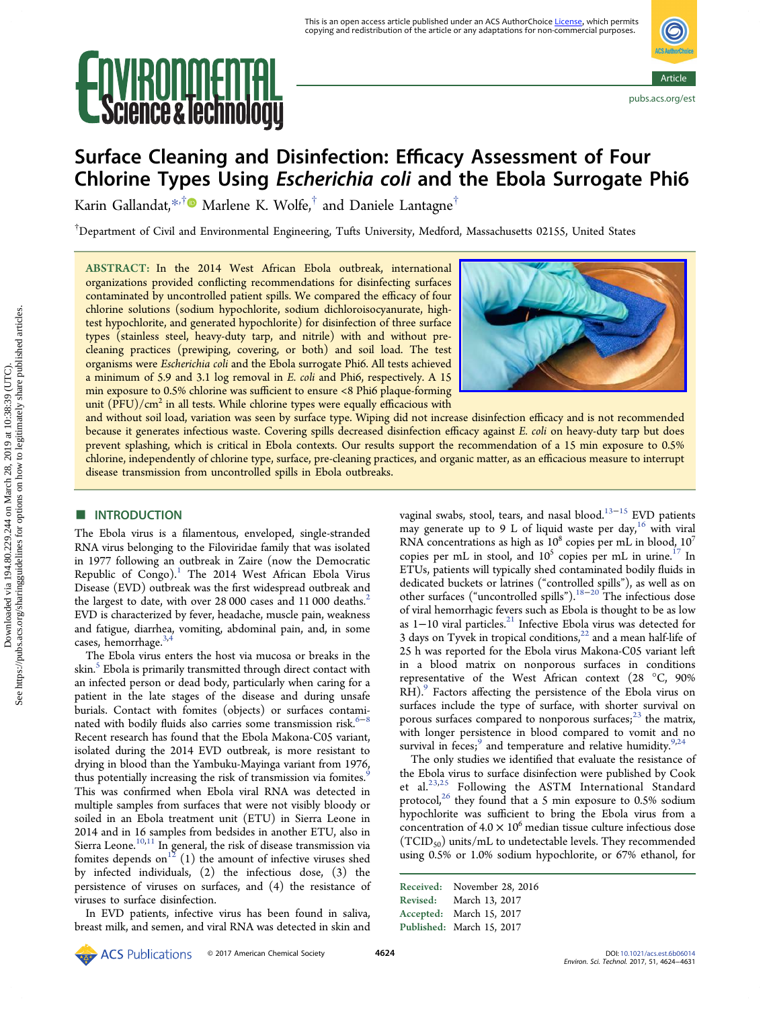# **IKULLIETIHL**<br>ence & lechnology



## Surface Cleaning and Disinfection: Efficacy Assessment of Four Chlorine Types Using Escherichia coli and the Ebola Surrogate Phi6

Karin Gallandat,[\\*](#page-6-0)<sup>,†</sup> Marlene K. Wolfe,<sup>†</sup> and Daniele Lantagne<sup>†</sup>

 $^\dagger$ Department of Civil and Environmental Engineering, Tufts University, Medford, Massachusetts 02155, United States

ABSTRACT: In the 2014 West African Ebola outbreak, international organizations provided conflicting recommendations for disinfecting surfaces contaminated by uncontrolled patient spills. We compared the efficacy of four chlorine solutions (sodium hypochlorite, sodium dichloroisocyanurate, hightest hypochlorite, and generated hypochlorite) for disinfection of three surface types (stainless steel, heavy-duty tarp, and nitrile) with and without precleaning practices (prewiping, covering, or both) and soil load. The test organisms were Escherichia coli and the Ebola surrogate Phi6. All tests achieved a minimum of 5.9 and 3.1 log removal in E. coli and Phi6, respectively. A 15 min exposure to 0.5% chlorine was sufficient to ensure <8 Phi6 plaque-forming unit  $(PFU)/cm<sup>2</sup>$  in all tests. While chlorine types were equally efficacious with



and without soil load, variation was seen by surface type. Wiping did not increase disinfection efficacy and is not recommended because it generates infectious waste. Covering spills decreased disinfection efficacy against E. coli on heavy-duty tarp but does prevent splashing, which is critical in Ebola contexts. Our results support the recommendation of a 15 min exposure to 0.5% chlorine, independently of chlorine type, surface, pre-cleaning practices, and organic matter, as an efficacious measure to interrupt disease transmission from uncontrolled spills in Ebola outbreaks.

### **■ INTRODUCTION**

The Ebola virus is a filamentous, enveloped, single-stranded RNA virus belonging to the Filoviridae family that was isolated in 1977 following an outbreak in Zaire (now the Democratic Republic of  $Congo$ .<sup>[1](#page-6-0)</sup> The 2014 West African Ebola Virus Disease (EVD) outbreak was the first widespread outbreak and the largest to date, with over [2](#page-6-0)8 000 cases and 11 000 deaths.<sup>2</sup> EVD is characterized by fever, headache, muscle pain, weakness and fatigue, diarrhea, vomiting, abdominal pain, and, in some cases, hemorrhage.<sup>[3,4](#page-6-0)</sup>

The Ebola virus enters the host via mucosa or breaks in the skin.<sup>[5](#page-6-0)</sup> Ebola is primarily transmitted through direct contact with an infected person or dead body, particularly when caring for a patient in the late stages of the disease and during unsafe burials. Contact with fomites (objects) or surfaces contaminated with bodily fluids also carries some transmission risk. $6-8$  $6-8$  $6-8$ Recent research has found that the Ebola Makona-C05 variant, isolated during the 2014 EVD outbreak, is more resistant to drying in blood than the Yambuku-Mayinga variant from 1976, thus potentially increasing the risk of transmission via fomites.<sup>5</sup> This was confirmed when Ebola viral RNA was detected in multiple samples from surfaces that were not visibly bloody or soiled in an Ebola treatment unit (ETU) in Sierra Leone in 2014 and in 16 samples from bedsides in another ETU, also in Sierra Leone.<sup>[10](#page-7-0),[11](#page-7-0)</sup> In general, the risk of disease transmission via fomites depends on<sup>[12](#page-7-0)</sup> (1) the amount of infective viruses shed by infected individuals, (2) the infectious dose, (3) the persistence of viruses on surfaces, and (4) the resistance of viruses to surface disinfection.

In EVD patients, infective virus has been found in saliva, breast milk, and semen, and viral RNA was detected in skin and vaginal swabs, stool, tears, and nasal blood.<sup>[13](#page-7-0)−[15](#page-7-0)</sup> EVD patients may generate up to 9 L of liquid waste per day, <sup>[16](#page-7-0)</sup> with viral RNA concentrations as high as  $10^8$  copies per mL in blood,  $10^7$ copies per mL in stool, and  $10^5$  copies per mL in urine.<sup>[17](#page-7-0)</sup> In ETUs, patients will typically shed contaminated bodily fluids in dedicated buckets or latrines ("controlled spills"), as well as on other surfaces ("uncontrolled spills").[18](#page-7-0)−[20](#page-7-0) The infectious dose of viral hemorrhagic fevers such as Ebola is thought to be as low as 1−10 viral particles.[21](#page-7-0) Infective Ebola virus was detected for 3 days on Tyvek in tropical conditions, $^{22}$  $^{22}$  $^{22}$  and a mean half-life of 25 h was reported for the Ebola virus Makona-C05 variant left in a blood matrix on nonporous surfaces in conditions representative of the West African context (28 °C, 90% RH).<sup>[9](#page-6-0)</sup> Factors affecting the persistence of the Ebola virus on surfaces include the type of surface, with shorter survival on porous surfaces compared to nonporous surfaces; $^{23}$  $^{23}$  $^{23}$  the matrix, with longer persistence in blood compared to vomit and no survival in feces;<sup>[9](#page-6-0)</sup> and temperature and relative humidity.<sup>9,[24](#page-7-0)</sup>

The only studies we identified that evaluate the resistance of the Ebola virus to surface disinfection were published by Cook et al.[23](#page-7-0),[25](#page-7-0) Following the ASTM International Standard protocol, $26$  they found that a 5 min exposure to 0.5% sodium hypochlorite was sufficient to bring the Ebola virus from a concentration of  $4.0 \times 10^6$  median tissue culture infectious dose  $(TCID<sub>50</sub>)$  units/mL to undetectable levels. They recommended using 0.5% or 1.0% sodium hypochlorite, or 67% ethanol, for

Received: November 28, 2016 Revised: March 13, 2017 Accepted: March 15, 2017 Published: March 15, 2017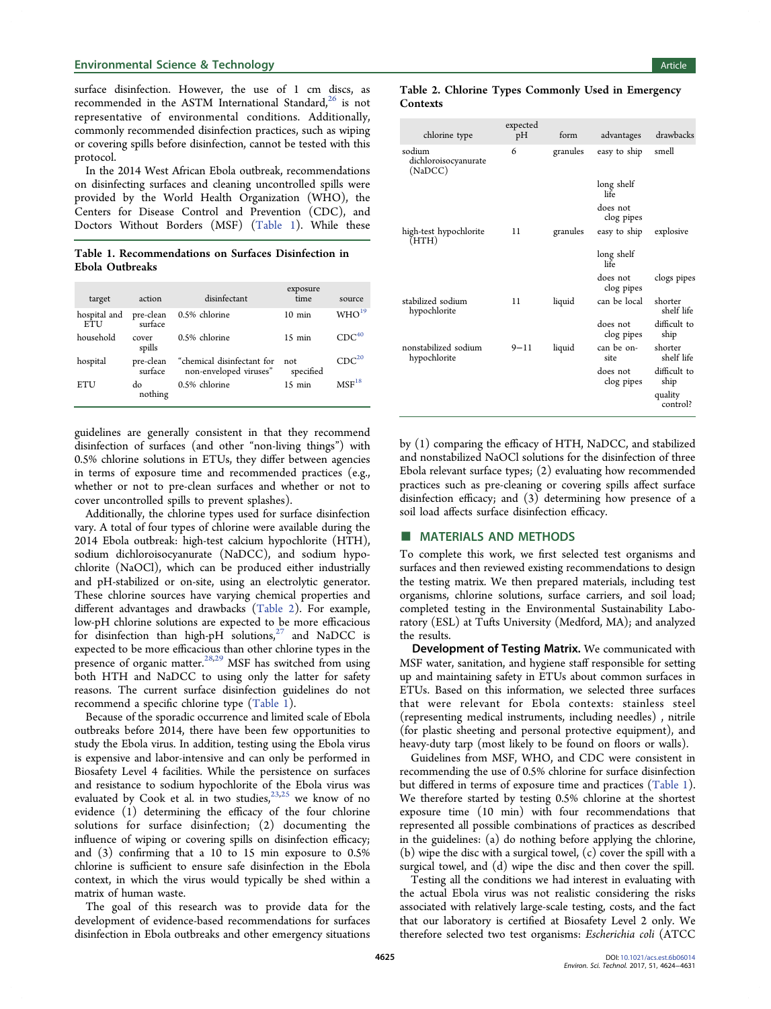#### **Environmental Science & Technology Article** and the state of the state of the state of the state of the state of the state of the state of the state of the state of the state of the state of the state of the state of the

surface disinfection. However, the use of 1 cm discs, as recommended in the ASTM International Standard, $^{26}$  $^{26}$  $^{26}$  is not representative of environmental conditions. Additionally, commonly recommended disinfection practices, such as wiping or covering spills before disinfection, cannot be tested with this protocol.

In the 2014 West African Ebola outbreak, recommendations on disinfecting surfaces and cleaning uncontrolled spills were provided by the World Health Organization (WHO), the Centers for Disease Control and Prevention (CDC), and Doctors Without Borders (MSF) (Table 1). While these

Table 1. Recommendations on Surfaces Disinfection in Ebola Outbreaks

| target                     | action               | disinfectant                                         | exposure<br>time | source            |
|----------------------------|----------------------|------------------------------------------------------|------------------|-------------------|
| hospital and<br><b>ETU</b> | pre-clean<br>surface | 0.5% chlorine                                        | $10 \text{ min}$ | WHO <sup>19</sup> |
| household                  | cover<br>spills      | 0.5% chlorine                                        | $15 \text{ min}$ | $CDC^{40}$        |
| hospital                   | pre-clean<br>surface | "chemical disinfectant for<br>non-enveloped viruses" | not<br>specified | CDC <sup>20</sup> |
| ETU                        | do<br>nothing        | 0.5% chlorine                                        | $15 \text{ min}$ | $MSF^{18}$        |

guidelines are generally consistent in that they recommend disinfection of surfaces (and other "non-living things") with 0.5% chlorine solutions in ETUs, they differ between agencies in terms of exposure time and recommended practices (e.g., whether or not to pre-clean surfaces and whether or not to cover uncontrolled spills to prevent splashes).

Additionally, the chlorine types used for surface disinfection vary. A total of four types of chlorine were available during the 2014 Ebola outbreak: high-test calcium hypochlorite (HTH), sodium dichloroisocyanurate (NaDCC), and sodium hypochlorite (NaOCl), which can be produced either industrially and pH-stabilized or on-site, using an electrolytic generator. These chlorine sources have varying chemical properties and different advantages and drawbacks (Table 2). For example, low-pH chlorine solutions are expected to be more efficacious for disinfection than high-pH solutions, $27$  and NaDCC is expected to be more efficacious than other chlorine types in the presence of organic matter.<sup>[28,29](#page-7-0)</sup> MSF has switched from using both HTH and NaDCC to using only the latter for safety reasons. The current surface disinfection guidelines do not recommend a specific chlorine type (Table 1).

Because of the sporadic occurrence and limited scale of Ebola outbreaks before 2014, there have been few opportunities to study the Ebola virus. In addition, testing using the Ebola virus is expensive and labor-intensive and can only be performed in Biosafety Level 4 facilities. While the persistence on surfaces and resistance to sodium hypochlorite of the Ebola virus was evaluated by Cook et al. in two studies,<sup>[23,25](#page-7-0)</sup> we know of no evidence (1) determining the efficacy of the four chlorine solutions for surface disinfection; (2) documenting the influence of wiping or covering spills on disinfection efficacy; and (3) confirming that a 10 to 15 min exposure to 0.5% chlorine is sufficient to ensure safe disinfection in the Ebola context, in which the virus would typically be shed within a matrix of human waste.

The goal of this research was to provide data for the development of evidence-based recommendations for surfaces disinfection in Ebola outbreaks and other emergency situations

#### Table 2. Chlorine Types Commonly Used in Emergency **Contexts**

| chlorine type                             | expected<br>pН | form     | advantages             | drawbacks             |
|-------------------------------------------|----------------|----------|------------------------|-----------------------|
| sodium<br>dichloroisocyanurate<br>(NaDCC) | 6              | granules | easy to ship           | smell                 |
|                                           |                |          | long shelf<br>life     |                       |
|                                           |                |          | does not<br>clog pipes |                       |
| high-test hypochlorite<br>(HTH)           | 11             | granules | easy to ship           | explosive             |
|                                           |                |          | long shelf<br>life     |                       |
|                                           |                |          | does not<br>clog pipes | clogs pipes           |
| stabilized sodium<br>hypochlorite         | 11             | liquid   | can be local           | shorter<br>shelf life |
|                                           |                |          | does not<br>clog pipes | difficult to<br>ship  |
| nonstabilized sodium<br>hypochlorite      | $9 - 11$       | liquid   | can be on-<br>site     | shorter<br>shelf life |
|                                           |                |          | does not<br>clog pipes | difficult to<br>ship  |
|                                           |                |          |                        | quality<br>control?   |

by (1) comparing the efficacy of HTH, NaDCC, and stabilized and nonstabilized NaOCl solutions for the disinfection of three Ebola relevant surface types; (2) evaluating how recommended practices such as pre-cleaning or covering spills affect surface disinfection efficacy; and (3) determining how presence of a soil load affects surface disinfection efficacy.

#### **MATERIALS AND METHODS**

To complete this work, we first selected test organisms and surfaces and then reviewed existing recommendations to design the testing matrix. We then prepared materials, including test organisms, chlorine solutions, surface carriers, and soil load; completed testing in the Environmental Sustainability Laboratory (ESL) at Tufts University (Medford, MA); and analyzed the results.

Development of Testing Matrix. We communicated with MSF water, sanitation, and hygiene staff responsible for setting up and maintaining safety in ETUs about common surfaces in ETUs. Based on this information, we selected three surfaces that were relevant for Ebola contexts: stainless steel (representing medical instruments, including needles) , nitrile (for plastic sheeting and personal protective equipment), and heavy-duty tarp (most likely to be found on floors or walls).

Guidelines from MSF, WHO, and CDC were consistent in recommending the use of 0.5% chlorine for surface disinfection but differed in terms of exposure time and practices (Table 1). We therefore started by testing 0.5% chlorine at the shortest exposure time (10 min) with four recommendations that represented all possible combinations of practices as described in the guidelines: (a) do nothing before applying the chlorine, (b) wipe the disc with a surgical towel, (c) cover the spill with a surgical towel, and (d) wipe the disc and then cover the spill.

Testing all the conditions we had interest in evaluating with the actual Ebola virus was not realistic considering the risks associated with relatively large-scale testing, costs, and the fact that our laboratory is certified at Biosafety Level 2 only. We therefore selected two test organisms: Escherichia coli (ATCC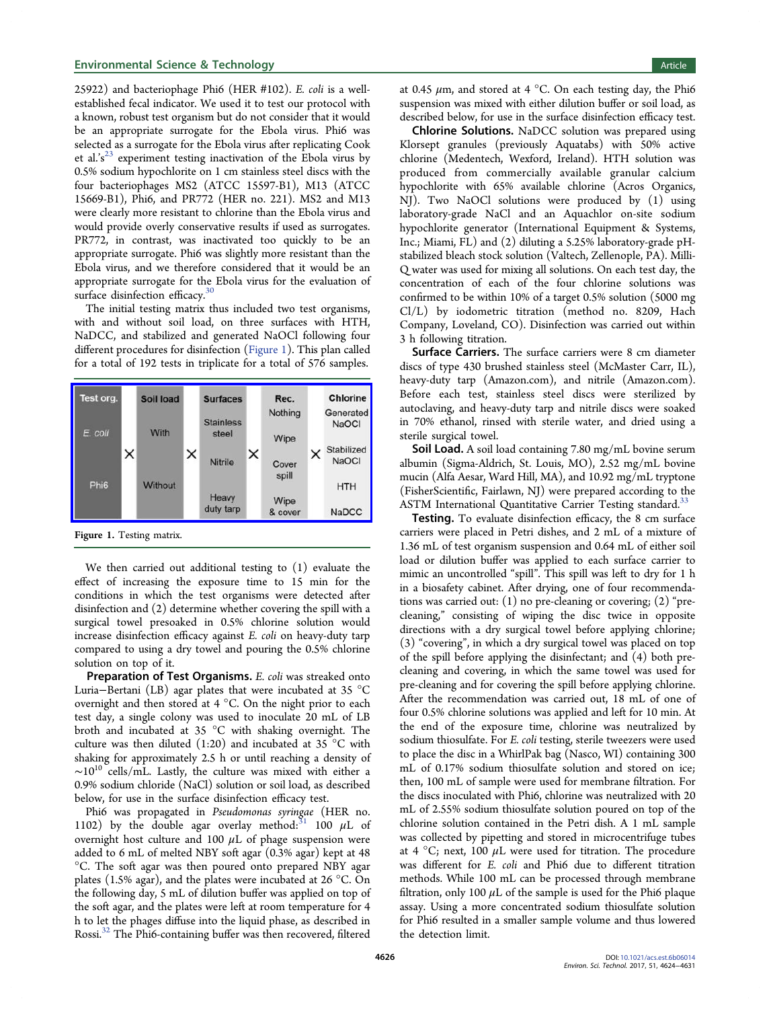25922) and bacteriophage Phi6 (HER #102). E. coli is a wellestablished fecal indicator. We used it to test our protocol with a known, robust test organism but do not consider that it would be an appropriate surrogate for the Ebola virus. Phi6 was selected as a surrogate for the Ebola virus after replicating Cook et al.'s<sup>[23](#page-7-0)</sup> experiment testing inactivation of the Ebola virus by 0.5% sodium hypochlorite on 1 cm stainless steel discs with the four bacteriophages MS2 (ATCC 15597-B1), M13 (ATCC 15669-B1), Phi6, and PR772 (HER no. 221). MS2 and M13 were clearly more resistant to chlorine than the Ebola virus and would provide overly conservative results if used as surrogates. PR772, in contrast, was inactivated too quickly to be an appropriate surrogate. Phi6 was slightly more resistant than the Ebola virus, and we therefore considered that it would be an appropriate surrogate for the Ebola virus for the evaluation of surface disinfection efficacy.<sup>[30](#page-7-0)</sup>

The initial testing matrix thus included two test organisms, with and without soil load, on three surfaces with HTH, NaDCC, and stabilized and generated NaOCl following four different procedures for disinfection (Figure 1). This plan called for a total of 192 tests in triplicate for a total of 576 samples.



Figure 1. Testing matrix.

We then carried out additional testing to (1) evaluate the effect of increasing the exposure time to 15 min for the conditions in which the test organisms were detected after disinfection and (2) determine whether covering the spill with a surgical towel presoaked in 0.5% chlorine solution would increase disinfection efficacy against E. coli on heavy-duty tarp compared to using a dry towel and pouring the 0.5% chlorine solution on top of it.

Preparation of Test Organisms. E. coli was streaked onto Luria−Bertani (LB) agar plates that were incubated at 35 °C overnight and then stored at 4 °C. On the night prior to each test day, a single colony was used to inoculate 20 mL of LB broth and incubated at 35 °C with shaking overnight. The culture was then diluted  $(1:20)$  and incubated at 35 °C with shaking for approximately 2.5 h or until reaching a density of ∼1010 cells/mL. Lastly, the culture was mixed with either a 0.9% sodium chloride (NaCl) solution or soil load, as described below, for use in the surface disinfection efficacy test.

Phi6 was propagated in Pseudomonas syringae (HER no. 1102) by the double agar overlay method:  $31$  100  $\mu$ L of overnight host culture and 100  $\mu$ L of phage suspension were added to 6 mL of melted NBY soft agar (0.3% agar) kept at 48 °C. The soft agar was then poured onto prepared NBY agar plates (1.5% agar), and the plates were incubated at 26  $^{\circ}$ C. On the following day, 5 mL of dilution buffer was applied on top of the soft agar, and the plates were left at room temperature for 4 h to let the phages diffuse into the liquid phase, as described in Rossi.[32](#page-7-0) The Phi6-containing buffer was then recovered, filtered

at 0.45  $\mu$ m, and stored at 4 °C. On each testing day, the Phi6 suspension was mixed with either dilution buffer or soil load, as described below, for use in the surface disinfection efficacy test.

Chlorine Solutions. NaDCC solution was prepared using Klorsept granules (previously Aquatabs) with 50% active chlorine (Medentech, Wexford, Ireland). HTH solution was produced from commercially available granular calcium hypochlorite with 65% available chlorine (Acros Organics, NJ). Two NaOCl solutions were produced by (1) using laboratory-grade NaCl and an Aquachlor on-site sodium hypochlorite generator (International Equipment & Systems, Inc.; Miami, FL) and (2) diluting a 5.25% laboratory-grade pHstabilized bleach stock solution (Valtech, Zellenople, PA). Milli-Q water was used for mixing all solutions. On each test day, the concentration of each of the four chlorine solutions was confirmed to be within 10% of a target 0.5% solution (5000 mg Cl/L) by iodometric titration (method no. 8209, Hach Company, Loveland, CO). Disinfection was carried out within 3 h following titration.

Surface Carriers. The surface carriers were 8 cm diameter discs of type 430 brushed stainless steel (McMaster Carr, IL), heavy-duty tarp (Amazon.com), and nitrile (Amazon.com). Before each test, stainless steel discs were sterilized by autoclaving, and heavy-duty tarp and nitrile discs were soaked in 70% ethanol, rinsed with sterile water, and dried using a sterile surgical towel.

Soil Load. A soil load containing 7.80 mg/mL bovine serum albumin (Sigma-Aldrich, St. Louis, MO), 2.52 mg/mL bovine mucin (Alfa Aesar, Ward Hill, MA), and 10.92 mg/mL tryptone (FisherScientific, Fairlawn, NJ) were prepared according to the ASTM International Quantitative Carrier Testing standard.<sup>[33](#page-7-0)</sup>

Testing. To evaluate disinfection efficacy, the 8 cm surface carriers were placed in Petri dishes, and 2 mL of a mixture of 1.36 mL of test organism suspension and 0.64 mL of either soil load or dilution buffer was applied to each surface carrier to mimic an uncontrolled "spill". This spill was left to dry for 1 h in a biosafety cabinet. After drying, one of four recommendations was carried out: (1) no pre-cleaning or covering; (2) "precleaning," consisting of wiping the disc twice in opposite directions with a dry surgical towel before applying chlorine; (3) "covering", in which a dry surgical towel was placed on top of the spill before applying the disinfectant; and (4) both precleaning and covering, in which the same towel was used for pre-cleaning and for covering the spill before applying chlorine. After the recommendation was carried out, 18 mL of one of four 0.5% chlorine solutions was applied and left for 10 min. At the end of the exposure time, chlorine was neutralized by sodium thiosulfate. For E. coli testing, sterile tweezers were used to place the disc in a WhirlPak bag (Nasco, WI) containing 300 mL of 0.17% sodium thiosulfate solution and stored on ice; then, 100 mL of sample were used for membrane filtration. For the discs inoculated with Phi6, chlorine was neutralized with 20 mL of 2.55% sodium thiosulfate solution poured on top of the chlorine solution contained in the Petri dish. A 1 mL sample was collected by pipetting and stored in microcentrifuge tubes at 4  $^{\circ}$ C; next, 100  $\mu$ L were used for titration. The procedure was different for E. coli and Phi6 due to different titration methods. While 100 mL can be processed through membrane filtration, only 100  $\mu$ L of the sample is used for the Phi6 plaque assay. Using a more concentrated sodium thiosulfate solution for Phi6 resulted in a smaller sample volume and thus lowered the detection limit.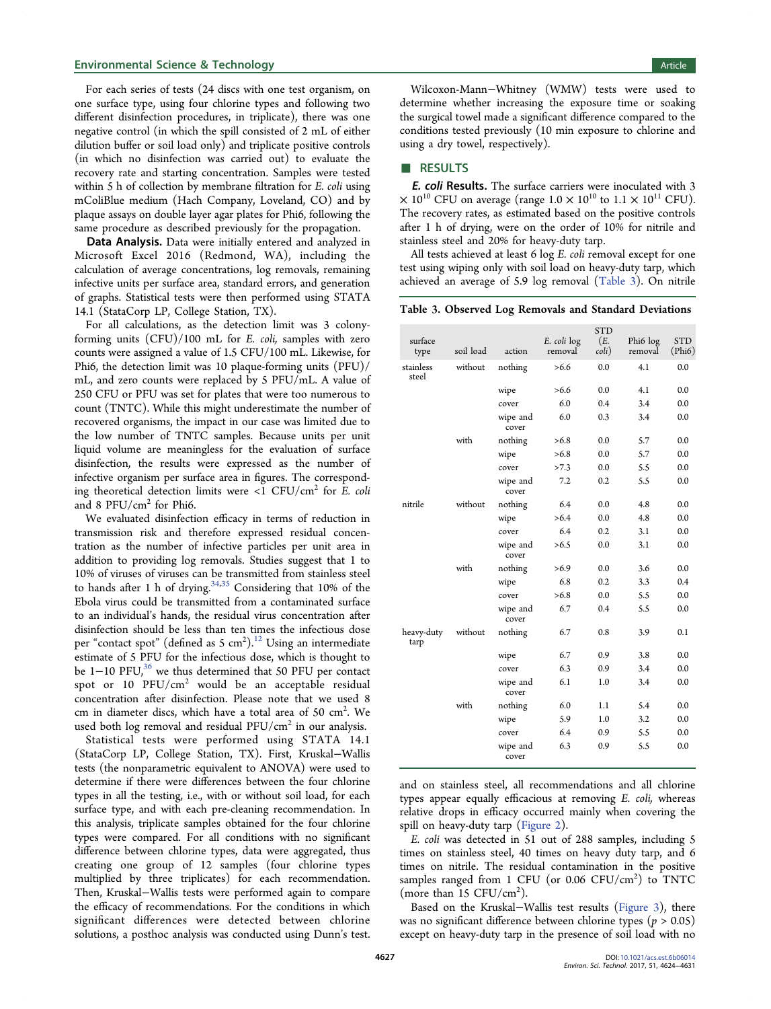<span id="page-3-0"></span>For each series of tests (24 discs with one test organism, on one surface type, using four chlorine types and following two different disinfection procedures, in triplicate), there was one negative control (in which the spill consisted of 2 mL of either dilution buffer or soil load only) and triplicate positive controls (in which no disinfection was carried out) to evaluate the recovery rate and starting concentration. Samples were tested within 5 h of collection by membrane filtration for *E. coli* using mColiBlue medium (Hach Company, Loveland, CO) and by plaque assays on double layer agar plates for Phi6, following the same procedure as described previously for the propagation.

Data Analysis. Data were initially entered and analyzed in Microsoft Excel 2016 (Redmond, WA), including the calculation of average concentrations, log removals, remaining infective units per surface area, standard errors, and generation of graphs. Statistical tests were then performed using STATA 14.1 (StataCorp LP, College Station, TX).

For all calculations, as the detection limit was 3 colonyforming units (CFU)/100 mL for E. coli, samples with zero counts were assigned a value of 1.5 CFU/100 mL. Likewise, for Phi6, the detection limit was 10 plaque-forming units (PFU)/ mL, and zero counts were replaced by 5 PFU/mL. A value of 250 CFU or PFU was set for plates that were too numerous to count (TNTC). While this might underestimate the number of recovered organisms, the impact in our case was limited due to the low number of TNTC samples. Because units per unit liquid volume are meaningless for the evaluation of surface disinfection, the results were expressed as the number of infective organism per surface area in figures. The corresponding theoretical detection limits were  $\langle$ 1 CFU/cm<sup>2</sup> for *E. coli* and 8  $PFU/cm<sup>2</sup>$  for Phi6.

We evaluated disinfection efficacy in terms of reduction in transmission risk and therefore expressed residual concentration as the number of infective particles per unit area in addition to providing log removals. Studies suggest that 1 to 10% of viruses of viruses can be transmitted from stainless steel to hands after 1 h of drying.<sup>[34](#page-7-0),[35](#page-7-0)</sup> Considering that 10% of the Ebola virus could be transmitted from a contaminated surface to an individual's hands, the residual virus concentration after disinfection should be less than ten times the infectious dose per "contact spot" (defined as 5  $\rm cm^2$ ). $^{12}$  $^{12}$  $^{12}$  Using an intermediate estimate of 5 PFU for the infectious dose, which is thought to be 1−10 PFU,<sup>[36](#page-7-0)</sup> we thus determined that 50 PFU per contact spot or 10  $PFU/cm<sup>2</sup>$  would be an acceptable residual concentration after disinfection. Please note that we used 8 cm in diameter discs, which have a total area of 50  $\text{cm}^2$ . We used both log removal and residual  $PFU/cm<sup>2</sup>$  in our analysis.

Statistical tests were performed using STATA 14.1 (StataCorp LP, College Station, TX). First, Kruskal−Wallis tests (the nonparametric equivalent to ANOVA) were used to determine if there were differences between the four chlorine types in all the testing, i.e., with or without soil load, for each surface type, and with each pre-cleaning recommendation. In this analysis, triplicate samples obtained for the four chlorine types were compared. For all conditions with no significant difference between chlorine types, data were aggregated, thus creating one group of 12 samples (four chlorine types multiplied by three triplicates) for each recommendation. Then, Kruskal−Wallis tests were performed again to compare the efficacy of recommendations. For the conditions in which significant differences were detected between chlorine solutions, a posthoc analysis was conducted using Dunn's test.

Wilcoxon-Mann−Whitney (WMW) tests were used to determine whether increasing the exposure time or soaking the surgical towel made a significant difference compared to the conditions tested previously (10 min exposure to chlorine and using a dry towel, respectively).

#### ■ RESULTS

E. coli Results. The surface carriers were inoculated with 3  $\times$  10<sup>10</sup> CFU on average (range 1.0  $\times$  10<sup>10</sup> to 1.1  $\times$  10<sup>11</sup> CFU). The recovery rates, as estimated based on the positive controls after 1 h of drying, were on the order of 10% for nitrile and stainless steel and 20% for heavy-duty tarp.

All tests achieved at least 6 log E. coli removal except for one test using wiping only with soil load on heavy-duty tarp, which achieved an average of 5.9 log removal (Table 3). On nitrile

Table 3. Observed Log Removals and Standard Deviations

| surface<br>type    | soil load | action            | E. coli log<br>removal | <b>STD</b><br>(E.<br>$\text{coli}$ ) | Phi6 log<br>removal | <b>STD</b><br>(Phi) |
|--------------------|-----------|-------------------|------------------------|--------------------------------------|---------------------|---------------------|
| stainless<br>steel | without   | nothing           | >6.6                   | 0.0                                  | 4.1                 | 0.0                 |
|                    |           | wipe              | >6.6                   | 0.0                                  | 4.1                 | 0.0                 |
|                    |           | cover             | 6.0                    | 0.4                                  | 3.4                 | 0.0                 |
|                    |           | wipe and<br>cover | 6.0                    | 0.3                                  | 3.4                 | 0.0                 |
|                    | with      | nothing           | >6.8                   | 0.0                                  | 5.7                 | 0.0                 |
|                    |           | wipe              | >6.8                   | 0.0                                  | 5.7                 | 0.0                 |
|                    |           | cover             | >7.3                   | 0.0                                  | 5.5                 | 0.0                 |
|                    |           | wipe and<br>cover | 7.2                    | 0.2                                  | 5.5                 | 0.0                 |
| nitrile            | without   | nothing           | 6.4                    | 0.0                                  | 4.8                 | 0.0                 |
|                    |           | wipe              | >6.4                   | 0.0                                  | 4.8                 | 0.0                 |
|                    |           | cover             | 6.4                    | 0.2                                  | 3.1                 | 0.0                 |
|                    |           | wipe and<br>cover | >6.5                   | 0.0                                  | 3.1                 | 0.0                 |
|                    | with      | nothing           | >6.9                   | 0.0                                  | 3.6                 | 0.0                 |
|                    |           | wipe              | 6.8                    | 0.2                                  | 3.3                 | 0.4                 |
|                    |           | cover             | >6.8                   | 0.0                                  | 5.5                 | 0.0                 |
|                    |           | wipe and<br>cover | 6.7                    | 0.4                                  | 5.5                 | 0.0                 |
| heavy-duty<br>tarp | without   | nothing           | 6.7                    | 0.8                                  | 3.9                 | 0.1                 |
|                    |           | wipe              | 6.7                    | 0.9                                  | 3.8                 | 0.0                 |
|                    |           | cover             | 6.3                    | 0.9                                  | 3.4                 | 0.0                 |
|                    |           | wipe and<br>cover | 6.1                    | 1.0                                  | 3.4                 | 0.0                 |
|                    | with      | nothing           | 6.0                    | 1.1                                  | 5.4                 | 0.0                 |
|                    |           | wipe              | 5.9                    | 1.0                                  | 3.2                 | 0.0                 |
|                    |           | cover             | 6.4                    | 0.9                                  | 5.5                 | 0.0                 |
|                    |           | wipe and<br>cover | 6.3                    | 0.9                                  | 5.5                 | 0.0                 |

and on stainless steel, all recommendations and all chlorine types appear equally efficacious at removing E. coli, whereas relative drops in efficacy occurred mainly when covering the spill on heavy-duty tarp [\(Figure 2](#page-4-0)).

E. coli was detected in 51 out of 288 samples, including 5 times on stainless steel, 40 times on heavy duty tarp, and 6 times on nitrile. The residual contamination in the positive samples ranged from 1 CFU (or 0.06 CFU/cm<sup>2</sup>) to TNTC (more than  $15 \text{ CFU/cm}^2$ ).

Based on the Kruskal−Wallis test results [\(Figure 3](#page-4-0)), there was no significant difference between chlorine types ( $p > 0.05$ ) except on heavy-duty tarp in the presence of soil load with no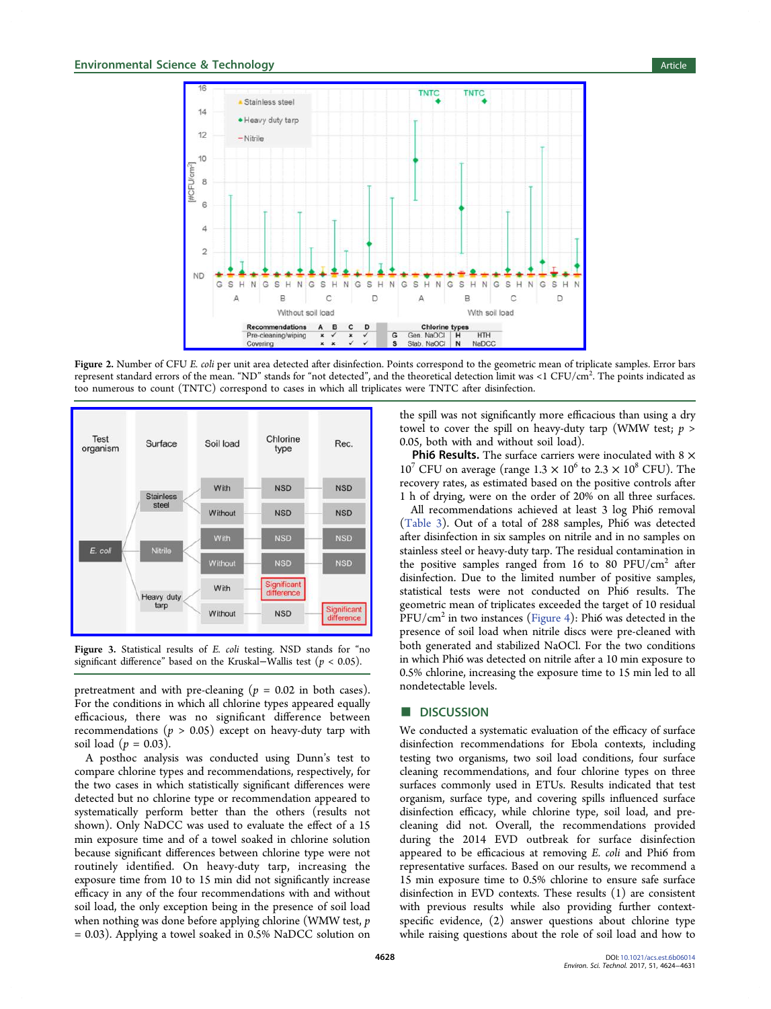<span id="page-4-0"></span>

Figure 2. Number of CFU E. coli per unit area detected after disinfection. Points correspond to the geometric mean of triplicate samples. Error bars represent standard errors of the mean. "ND" stands for "not detected", and the theoretical detection limit was <1 CFU/cm<sup>2</sup>. The points indicated as too numerous to count (TNTC) correspond to cases in which all triplicates were TNTC after disinfection.



Figure 3. Statistical results of E. coli testing. NSD stands for "no significant difference" based on the Kruskal–Wallis test ( $p < 0.05$ ).

pretreatment and with pre-cleaning ( $p = 0.02$  in both cases). For the conditions in which all chlorine types appeared equally efficacious, there was no significant difference between recommendations ( $p > 0.05$ ) except on heavy-duty tarp with soil load  $(p = 0.03)$ .

A posthoc analysis was conducted using Dunn's test to compare chlorine types and recommendations, respectively, for the two cases in which statistically significant differences were detected but no chlorine type or recommendation appeared to systematically perform better than the others (results not shown). Only NaDCC was used to evaluate the effect of a 15 min exposure time and of a towel soaked in chlorine solution because significant differences between chlorine type were not routinely identified. On heavy-duty tarp, increasing the exposure time from 10 to 15 min did not significantly increase efficacy in any of the four recommendations with and without soil load, the only exception being in the presence of soil load when nothing was done before applying chlorine (WMW test, p = 0.03). Applying a towel soaked in 0.5% NaDCC solution on

the spill was not significantly more efficacious than using a dry towel to cover the spill on heavy-duty tarp (WMW test;  $p >$ 0.05, both with and without soil load).

**Phi6 Results.** The surface carriers were inoculated with  $8 \times$  $10^7$  CFU on average (range  $1.3 \times 10^6$  to  $2.3 \times 10^8$  CFU). The recovery rates, as estimated based on the positive controls after 1 h of drying, were on the order of 20% on all three surfaces.

All recommendations achieved at least 3 log Phi6 removal [\(Table 3\)](#page-3-0). Out of a total of 288 samples, Phi6 was detected after disinfection in six samples on nitrile and in no samples on stainless steel or heavy-duty tarp. The residual contamination in the positive samples ranged from 16 to 80  $PFU/cm<sup>2</sup>$  after disinfection. Due to the limited number of positive samples, statistical tests were not conducted on Phi6 results. The geometric mean of triplicates exceeded the target of 10 residual  $PFU/cm<sup>2</sup>$  in two instances [\(Figure 4\)](#page-5-0): Phi6 was detected in the presence of soil load when nitrile discs were pre-cleaned with both generated and stabilized NaOCl. For the two conditions in which Phi6 was detected on nitrile after a 10 min exposure to 0.5% chlorine, increasing the exposure time to 15 min led to all nondetectable levels.

#### **DISCUSSION**

We conducted a systematic evaluation of the efficacy of surface disinfection recommendations for Ebola contexts, including testing two organisms, two soil load conditions, four surface cleaning recommendations, and four chlorine types on three surfaces commonly used in ETUs. Results indicated that test organism, surface type, and covering spills influenced surface disinfection efficacy, while chlorine type, soil load, and precleaning did not. Overall, the recommendations provided during the 2014 EVD outbreak for surface disinfection appeared to be efficacious at removing E. coli and Phi6 from representative surfaces. Based on our results, we recommend a 15 min exposure time to 0.5% chlorine to ensure safe surface disinfection in EVD contexts. These results (1) are consistent with previous results while also providing further contextspecific evidence, (2) answer questions about chlorine type while raising questions about the role of soil load and how to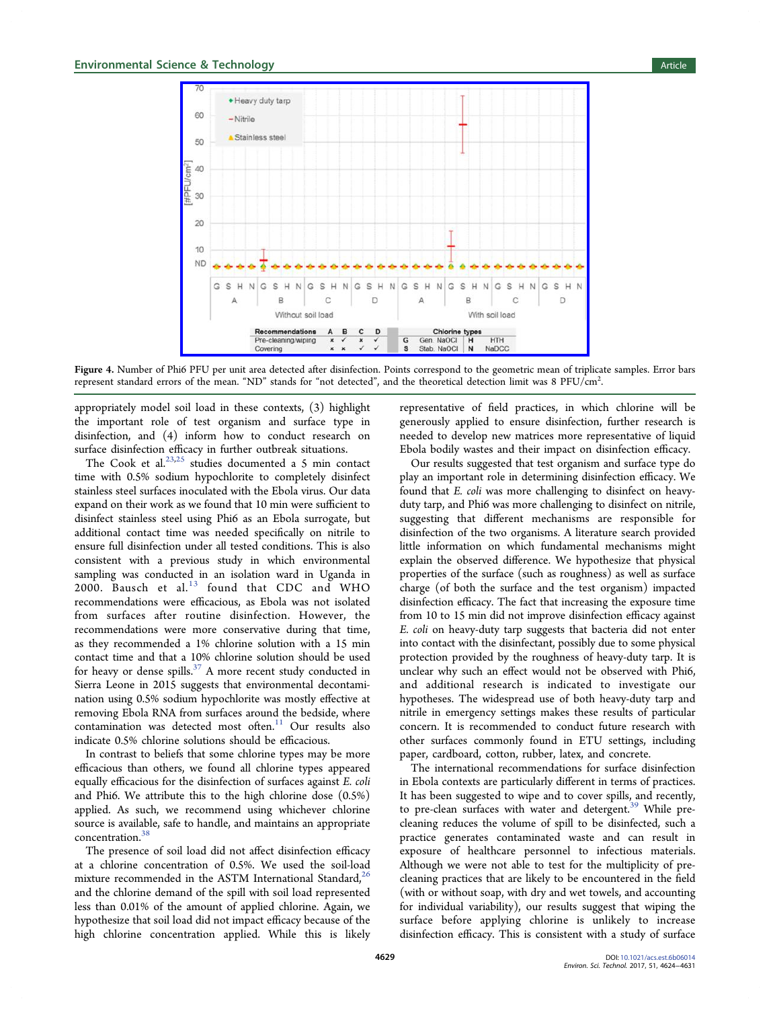<span id="page-5-0"></span>

Figure 4. Number of Phi6 PFU per unit area detected after disinfection. Points correspond to the geometric mean of triplicate samples. Error bars represent standard errors of the mean. "ND" stands for "not detected", and the theoretical detection limit was 8 PFU/cm<sup>2</sup>. .

appropriately model soil load in these contexts, (3) highlight the important role of test organism and surface type in disinfection, and (4) inform how to conduct research on surface disinfection efficacy in further outbreak situations.

The Cook et al.<sup>[23](#page-7-0),[25](#page-7-0)</sup> studies documented a 5 min contact time with 0.5% sodium hypochlorite to completely disinfect stainless steel surfaces inoculated with the Ebola virus. Our data expand on their work as we found that 10 min were sufficient to disinfect stainless steel using Phi6 as an Ebola surrogate, but additional contact time was needed specifically on nitrile to ensure full disinfection under all tested conditions. This is also consistent with a previous study in which environmental sampling was conducted in an isolation ward in Uganda in  $2000.$  Bausch et al.<sup>[13](#page-7-0)</sup> found that CDC and WHO recommendations were efficacious, as Ebola was not isolated from surfaces after routine disinfection. However, the recommendations were more conservative during that time, as they recommended a 1% chlorine solution with a 15 min contact time and that a 10% chlorine solution should be used for heavy or dense spills. $37$  A more recent study conducted in Sierra Leone in 2015 suggests that environmental decontamination using 0.5% sodium hypochlorite was mostly effective at removing Ebola RNA from surfaces around the bedside, where contamination was detected most often.<sup>[11](#page-7-0)</sup> Our results also indicate 0.5% chlorine solutions should be efficacious.

In contrast to beliefs that some chlorine types may be more efficacious than others, we found all chlorine types appeared equally efficacious for the disinfection of surfaces against E. coli and Phi6. We attribute this to the high chlorine dose (0.5%) applied. As such, we recommend using whichever chlorine source is available, safe to handle, and maintains an appropriate concentration.[38](#page-7-0)

The presence of soil load did not affect disinfection efficacy at a chlorine concentration of 0.5%. We used the soil-load mixture recommended in the ASTM International Standard,<sup>[26](#page-7-0)</sup> and the chlorine demand of the spill with soil load represented less than 0.01% of the amount of applied chlorine. Again, we hypothesize that soil load did not impact efficacy because of the high chlorine concentration applied. While this is likely

representative of field practices, in which chlorine will be generously applied to ensure disinfection, further research is needed to develop new matrices more representative of liquid Ebola bodily wastes and their impact on disinfection efficacy.

Our results suggested that test organism and surface type do play an important role in determining disinfection efficacy. We found that E. coli was more challenging to disinfect on heavyduty tarp, and Phi6 was more challenging to disinfect on nitrile, suggesting that different mechanisms are responsible for disinfection of the two organisms. A literature search provided little information on which fundamental mechanisms might explain the observed difference. We hypothesize that physical properties of the surface (such as roughness) as well as surface charge (of both the surface and the test organism) impacted disinfection efficacy. The fact that increasing the exposure time from 10 to 15 min did not improve disinfection efficacy against E. coli on heavy-duty tarp suggests that bacteria did not enter into contact with the disinfectant, possibly due to some physical protection provided by the roughness of heavy-duty tarp. It is unclear why such an effect would not be observed with Phi6, and additional research is indicated to investigate our hypotheses. The widespread use of both heavy-duty tarp and nitrile in emergency settings makes these results of particular concern. It is recommended to conduct future research with other surfaces commonly found in ETU settings, including paper, cardboard, cotton, rubber, latex, and concrete.

The international recommendations for surface disinfection in Ebola contexts are particularly different in terms of practices. It has been suggested to wipe and to cover spills, and recently, to pre-clean surfaces with water and detergent.<sup>[39](#page-7-0)</sup> While precleaning reduces the volume of spill to be disinfected, such a practice generates contaminated waste and can result in exposure of healthcare personnel to infectious materials. Although we were not able to test for the multiplicity of precleaning practices that are likely to be encountered in the field (with or without soap, with dry and wet towels, and accounting for individual variability), our results suggest that wiping the surface before applying chlorine is unlikely to increase disinfection efficacy. This is consistent with a study of surface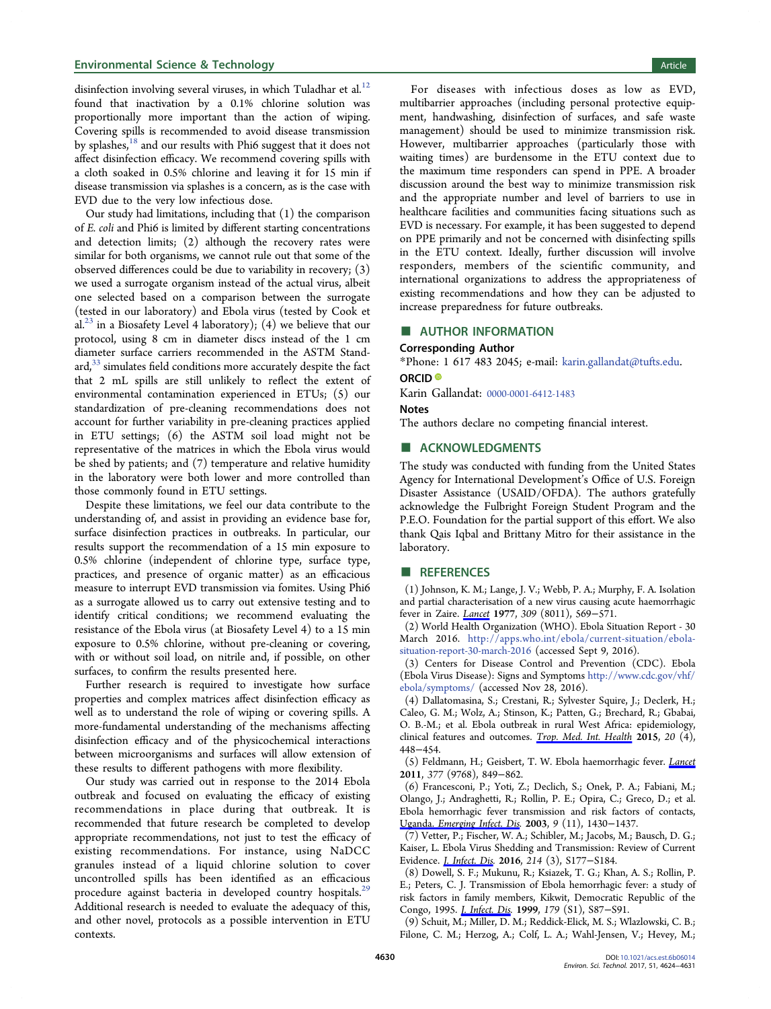#### <span id="page-6-0"></span>**Environmental Science & Technology Article** Article 30 and 30 and 30 and 30 and 30 and 30 and 30 and 30 and 30 and 30 and 30 and 30 and 30 and 30 and 30 and 30 and 30 and 30 and 30 and 30 and 30 and 30 and 30 and 30 and 3

disinfection involving several viruses, in which Tuladhar et al.<sup>[12](#page-7-0)</sup> found that inactivation by a 0.1% chlorine solution was proportionally more important than the action of wiping. Covering spills is recommended to avoid disease transmission by splashes, $18$  and our results with Phi6 suggest that it does not affect disinfection efficacy. We recommend covering spills with a cloth soaked in 0.5% chlorine and leaving it for 15 min if disease transmission via splashes is a concern, as is the case with EVD due to the very low infectious dose.

Our study had limitations, including that (1) the comparison of E. coli and Phi6 is limited by different starting concentrations and detection limits; (2) although the recovery rates were similar for both organisms, we cannot rule out that some of the observed differences could be due to variability in recovery; (3) we used a surrogate organism instead of the actual virus, albeit one selected based on a comparison between the surrogate (tested in our laboratory) and Ebola virus (tested by Cook et al.<sup>[23](#page-7-0)</sup> in a Biosafety Level 4 laboratory); (4) we believe that our protocol, using 8 cm in diameter discs instead of the 1 cm diameter surface carriers recommended in the ASTM Stand- $\text{ard}$ ,<sup>[33](#page-7-0)</sup> simulates field conditions more accurately despite the fact that 2 mL spills are still unlikely to reflect the extent of environmental contamination experienced in ETUs; (5) our standardization of pre-cleaning recommendations does not account for further variability in pre-cleaning practices applied in ETU settings; (6) the ASTM soil load might not be representative of the matrices in which the Ebola virus would be shed by patients; and (7) temperature and relative humidity in the laboratory were both lower and more controlled than those commonly found in ETU settings.

Despite these limitations, we feel our data contribute to the understanding of, and assist in providing an evidence base for, surface disinfection practices in outbreaks. In particular, our results support the recommendation of a 15 min exposure to 0.5% chlorine (independent of chlorine type, surface type, practices, and presence of organic matter) as an efficacious measure to interrupt EVD transmission via fomites. Using Phi6 as a surrogate allowed us to carry out extensive testing and to identify critical conditions; we recommend evaluating the resistance of the Ebola virus (at Biosafety Level 4) to a 15 min exposure to 0.5% chlorine, without pre-cleaning or covering, with or without soil load, on nitrile and, if possible, on other surfaces, to confirm the results presented here.

Further research is required to investigate how surface properties and complex matrices affect disinfection efficacy as well as to understand the role of wiping or covering spills. A more-fundamental understanding of the mechanisms affecting disinfection efficacy and of the physicochemical interactions between microorganisms and surfaces will allow extension of these results to different pathogens with more flexibility.

Our study was carried out in response to the 2014 Ebola outbreak and focused on evaluating the efficacy of existing recommendations in place during that outbreak. It is recommended that future research be completed to develop appropriate recommendations, not just to test the efficacy of existing recommendations. For instance, using NaDCC granules instead of a liquid chlorine solution to cover uncontrolled spills has been identified as an efficacious procedure against bacteria in developed country hospitals.<sup>[29](#page-7-0)</sup> Additional research is needed to evaluate the adequacy of this, and other novel, protocols as a possible intervention in ETU contexts.

For diseases with infectious doses as low as EVD, multibarrier approaches (including personal protective equipment, handwashing, disinfection of surfaces, and safe waste management) should be used to minimize transmission risk. However, multibarrier approaches (particularly those with waiting times) are burdensome in the ETU context due to the maximum time responders can spend in PPE. A broader discussion around the best way to minimize transmission risk and the appropriate number and level of barriers to use in healthcare facilities and communities facing situations such as EVD is necessary. For example, it has been suggested to depend on PPE primarily and not be concerned with disinfecting spills in the ETU context. Ideally, further discussion will involve responders, members of the scientific community, and international organizations to address the appropriateness of existing recommendations and how they can be adjusted to increase preparedness for future outbreaks.

#### ■ AUTHOR INFORMATION

#### Corresponding Author

\*Phone: 1 617 483 2045; e-mail: [karin.gallandat@tufts.edu.](mailto:karin.gallandat@tufts.edu) ORCID<sup>®</sup>

Karin Gallandat: [0000-0001-6412-1483](http://orcid.org/0000-0001-6412-1483)

#### **Notes**

The authors declare no competing financial interest.

#### ■ ACKNOWLEDGMENTS

The study was conducted with funding from the United States Agency for International Development's Office of U.S. Foreign Disaster Assistance (USAID/OFDA). The authors gratefully acknowledge the Fulbright Foreign Student Program and the P.E.O. Foundation for the partial support of this effort. We also thank Qais Iqbal and Brittany Mitro for their assistance in the laboratory.

#### ■ REFERENCES

(1) Johnson, K. M.; Lange, J. V.; Webb, P. A.; Murphy, F. A. Isolation and partial characterisation of a new virus causing acute haemorrhagic fever in Zaire. [Lancet](http://pubs.acs.org/action/showLinks?crossref=10.1016%2FS0140-6736%2877%2992000-1&citationId=p_n_1_1) 1977, 309 (8011), 569−571.

(2) World Health Organization (WHO). Ebola Situation Report - 30 March 2016. [http://apps.who.int/ebola/current-situation/ebola](http://apps.who.int/ebola/current-situation/ebola-situation-report-30-march-2016)[situation-report-30-march-2016](http://apps.who.int/ebola/current-situation/ebola-situation-report-30-march-2016) (accessed Sept 9, 2016).

(3) Centers for Disease Control and Prevention (CDC). Ebola (Ebola Virus Disease): Signs and Symptoms [http://www.cdc.gov/vhf/](http://www.cdc.gov/vhf/ebola/symptoms/) [ebola/symptoms/](http://www.cdc.gov/vhf/ebola/symptoms/) (accessed Nov 28, 2016).

(4) Dallatomasina, S.; Crestani, R.; Sylvester Squire, J.; Declerk, H.; Caleo, G. M.; Wolz, A.; Stinson, K.; Patten, G.; Brechard, R.; Gbabai, O. B.-M.; et al. Ebola outbreak in rural West Africa: epidemiology, clinical features and outcomes. [Trop. Med. Int. Health](http://pubs.acs.org/action/showLinks?pmid=25565430&crossref=10.1111%2Ftmi.12454&coi=1%3ACAS%3A280%3ADC%252BC2MvktFCksw%253D%253D&citationId=p_n_4_1) 2015, 20 (4), 448−454.

(5) Feldmann, H.; Geisbert, T. W. Ebola haemorrhagic fever. [Lancet](http://pubs.acs.org/action/showLinks?pmid=21084112&crossref=10.1016%2FS0140-6736%2810%2960667-8&coi=1%3ACAS%3A280%3ADC%252BC3M3jvFWktg%253D%253D&citationId=p_n_5_1) 2011, 377 (9768), 849−862.

(6) Francesconi, P.; Yoti, Z.; Declich, S.; Onek, P. A.; Fabiani, M.; Olango, J.; Andraghetti, R.; Rollin, P. E.; Opira, C.; Greco, D.; et al. Ebola hemorrhagic fever transmission and risk factors of contacts, Uganda. [Emerging Infect. Dis.](http://pubs.acs.org/action/showLinks?pmid=14718087&crossref=10.3201%2Feid0911.030339&coi=1%3ACAS%3A280%3ADC%252BD2c%252FitV2ktg%253D%253D&citationId=p_n_6_1) 2003, 9 (11), 1430−1437.

(7) Vetter, P.; Fischer, W. A.; Schibler, M.; Jacobs, M.; Bausch, D. G.; Kaiser, L. Ebola Virus Shedding and Transmission: Review of Current Evidence. [J. Infect. Dis](http://pubs.acs.org/action/showLinks?pmid=27443613&crossref=10.1093%2Finfdis%2Fjiw254&coi=1%3ACAS%3A528%3ADC%252BC1cXktFCgtbY%253D&citationId=p_n_7_1). 2016, 214 (3), S177−S184.

(8) Dowell, S. F.; Mukunu, R.; Ksiazek, T. G.; Khan, A. S.; Rollin, P. E.; Peters, C. J. Transmission of Ebola hemorrhagic fever: a study of risk factors in family members, Kikwit, Democratic Republic of the Congo, 1995. *[J. Infect. Dis](http://pubs.acs.org/action/showLinks?pmid=9988169&crossref=10.1086%2F514284&citationId=p_n_8_1).* 1999, 179 (S1), S87-S91.

(9) Schuit, M.; Miller, D. M.; Reddick-Elick, M. S.; Wlazlowski, C. B.; Filone, C. M.; Herzog, A.; Colf, L. A.; Wahl-Jensen, V.; Hevey, M.;